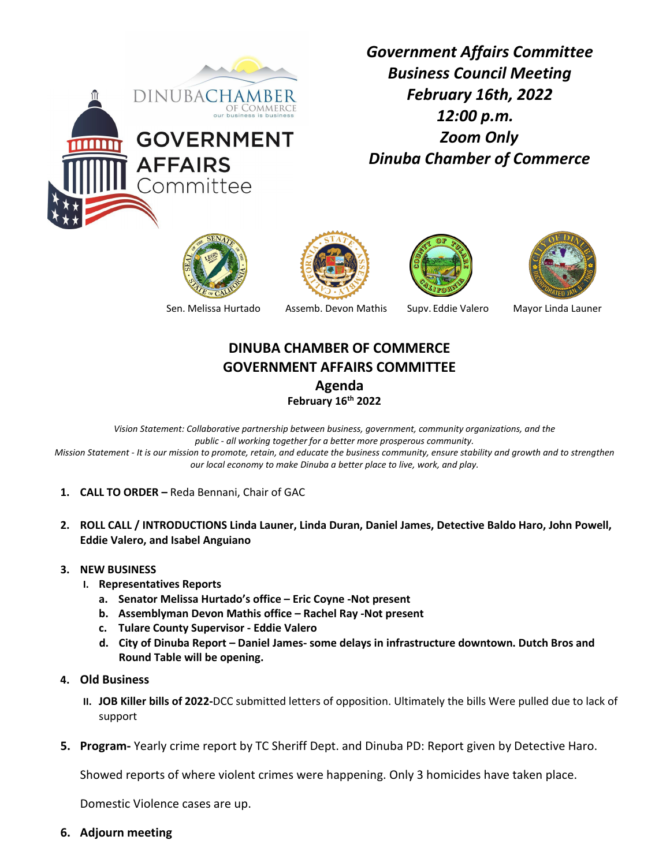

*Government Affairs Committee Business Council Meeting February 16th, 2022 12:00 p.m. Zoom Only Dinuba Chamber of Commerce* 









Sen. Melissa Hurtado Assemb. Devon Mathis Supv. Eddie Valero Mayor Linda Launer

## **DINUBA CHAMBER OF COMMERCE GOVERNMENT AFFAIRS COMMITTEE**

**Agenda**

**February 16th 2022**

*Vision Statement: Collaborative partnership between business, government, community organizations, and the public - all working together for a better more prosperous community. Mission Statement - It is our mission to promote, retain, and educate the business community, ensure stability and growth and to strengthen our local economy to make Dinuba a better place to live, work, and play.*

- **1. CALL TO ORDER –** Reda Bennani, Chair of GAC
- **2. ROLL CALL / INTRODUCTIONS Linda Launer, Linda Duran, Daniel James, Detective Baldo Haro, John Powell, Eddie Valero, and Isabel Anguiano**
- **3. NEW BUSINESS**
	- **I. Representatives Reports**
		- **a. Senator Melissa Hurtado's office – Eric Coyne -Not present**
		- **b. Assemblyman Devon Mathis office – Rachel Ray -Not present**
		- **c. Tulare County Supervisor - Eddie Valero**
		- **d. City of Dinuba Report – Daniel James- some delays in infrastructure downtown. Dutch Bros and Round Table will be opening.**
- **4. Old Business**
	- **II. JOB Killer bills of 2022-**DCC submitted letters of opposition. Ultimately the bills Were pulled due to lack of support
- **5. Program-** Yearly crime report by TC Sheriff Dept. and Dinuba PD: Report given by Detective Haro.

Showed reports of where violent crimes were happening. Only 3 homicides have taken place.

Domestic Violence cases are up.

**6. Adjourn meeting**